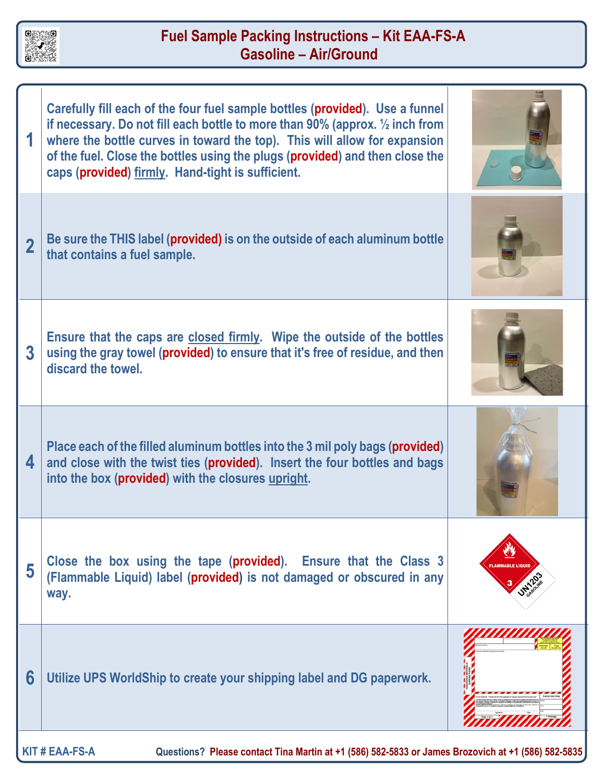

## **Fuel Sample Packing Instructions – Kit EAA-FS-A Gasoline – Air/Ground**

|                | Carefully fill each of the four fuel sample bottles (provided). Use a funnel<br>if necessary. Do not fill each bottle to more than 90% (approx. $\frac{1}{2}$ inch from<br>where the bottle curves in toward the top). This will allow for expansion<br>of the fuel. Close the bottles using the plugs (provided) and then close the<br>caps (provided) firmly. Hand-tight is sufficient. |              |
|----------------|-------------------------------------------------------------------------------------------------------------------------------------------------------------------------------------------------------------------------------------------------------------------------------------------------------------------------------------------------------------------------------------------|--------------|
| $\overline{2}$ | Be sure the THIS label (provided) is on the outside of each aluminum bottle<br>that contains a fuel sample.                                                                                                                                                                                                                                                                               |              |
| 3              | Ensure that the caps are closed firmly. Wipe the outside of the bottles<br>using the gray towel (provided) to ensure that it's free of residue, and then<br>discard the towel.                                                                                                                                                                                                            |              |
| 4              | Place each of the filled aluminum bottles into the 3 mil poly bags (provided)<br>and close with the twist ties (provided). Insert the four bottles and bags<br>into the box (provided) with the closures upright.                                                                                                                                                                         |              |
| 5              | Close the box using the tape (provided). Ensure that the Class 3<br>(Flammable Liquid) label (provided) is not damaged or obscured in any<br>way.                                                                                                                                                                                                                                         | AMMARIE LIQU |
| 6              | Utilize UPS WorldShip to create your shipping label and DG paperwork.                                                                                                                                                                                                                                                                                                                     |              |